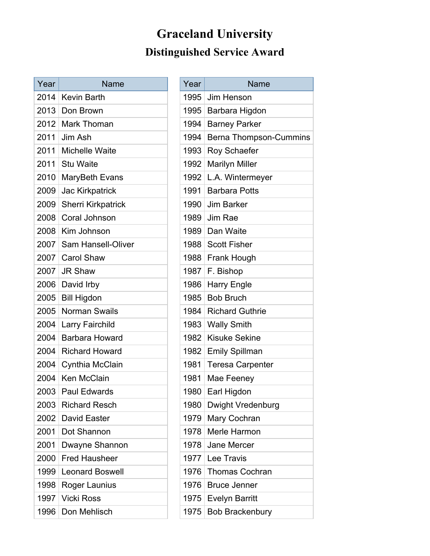# **Graceland University Distinguished Service Award**

| Year | Name                      |
|------|---------------------------|
| 2014 | <b>Kevin Barth</b>        |
| 2013 | Don Brown                 |
| 2012 | <b>Mark Thoman</b>        |
| 2011 | Jim Ash                   |
| 2011 | <b>Michelle Waite</b>     |
| 2011 | <b>Stu Waite</b>          |
| 2010 | MaryBeth Evans            |
| 2009 | <b>Jac Kirkpatrick</b>    |
| 2009 | <b>Sherri Kirkpatrick</b> |
| 2008 | Coral Johnson             |
| 2008 | Kim Johnson               |
| 2007 | Sam Hansell-Oliver        |
| 2007 | <b>Carol Shaw</b>         |
| 2007 | <b>JR Shaw</b>            |
| 2006 | David Irby                |
| 2005 | <b>Bill Higdon</b>        |
| 2005 | <b>Norman Swails</b>      |
| 2004 | <b>Larry Fairchild</b>    |
| 2004 | <b>Barbara Howard</b>     |
| 2004 | <b>Richard Howard</b>     |
| 2004 | Cynthia McClain           |
| 2004 | Ken McClain               |
| 2003 | Paul Edwards              |
| 2003 | <b>Richard Resch</b>      |
| 2002 | David Easter              |
| 2001 | Dot Shannon               |
| 2001 | Dwayne Shannon            |
| 2000 | <b>Fred Hausheer</b>      |
| 1999 | <b>Leonard Boswell</b>    |
| 1998 | Roger Launius             |
| 1997 | <b>Vicki Ross</b>         |
| 1996 | Don Mehlisch              |

| Year | <b>Name</b>                   |
|------|-------------------------------|
| 1995 | Jim Henson                    |
| 1995 | Barbara Higdon                |
| 1994 | <b>Barney Parker</b>          |
| 1994 | <b>Berna Thompson-Cummins</b> |
| 1993 | Roy Schaefer                  |
| 1992 | <b>Marilyn Miller</b>         |
| 1992 | L.A. Wintermeyer              |
| 1991 | <b>Barbara Potts</b>          |
| 1990 | <b>Jim Barker</b>             |
| 1989 | Jim Rae                       |
| 1989 | Dan Waite                     |
| 1988 | <b>Scott Fisher</b>           |
| 1988 | Frank Hough                   |
| 1987 | F. Bishop                     |
| 1986 | Harry Engle                   |
| 1985 | <b>Bob Bruch</b>              |
| 1984 | <b>Richard Guthrie</b>        |
| 1983 | <b>Wally Smith</b>            |
| 1982 | <b>Kisuke Sekine</b>          |
| 1982 | <b>Emily Spillman</b>         |
| 1981 | <b>Teresa Carpenter</b>       |
| 1981 | Mae Feeney                    |
| 1980 | Earl Higdon                   |
| 1980 | <b>Dwight Vredenburg</b>      |
| 1979 | Mary Cochran                  |
| 1978 | Merle Harmon                  |
| 1978 | Jane Mercer                   |
| 1977 | Lee Travis                    |
| 1976 | <b>Thomas Cochran</b>         |
| 1976 | <b>Bruce Jenner</b>           |
| 1975 | <b>Evelyn Barritt</b>         |
| 1975 | <b>Bob Brackenbury</b>        |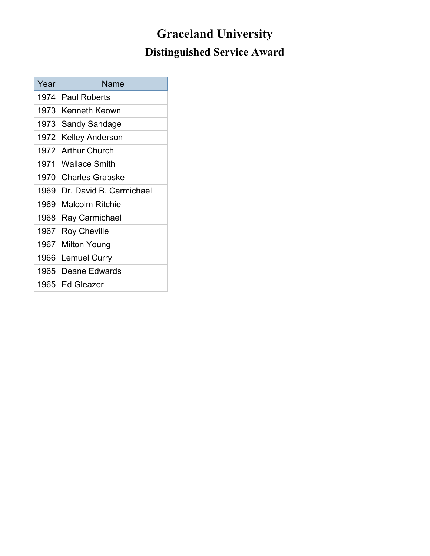# **Graceland University Distinguished Service Award**

| Year | Name                    |
|------|-------------------------|
| 1974 | <b>Paul Roberts</b>     |
| 1973 | <b>Kenneth Keown</b>    |
| 1973 | Sandy Sandage           |
| 1972 | Kelley Anderson         |
| 1972 | <b>Arthur Church</b>    |
| 1971 | <b>Wallace Smith</b>    |
| 1970 | <b>Charles Grabske</b>  |
| 1969 | Dr. David B. Carmichael |
| 1969 | Malcolm Ritchie         |
| 1968 | Ray Carmichael          |
| 1967 | <b>Roy Cheville</b>     |
| 1967 | Milton Young            |
| 1966 | Lemuel Curry            |
| 1965 | Deane Edwards           |
| 1965 | Ed Gleazer              |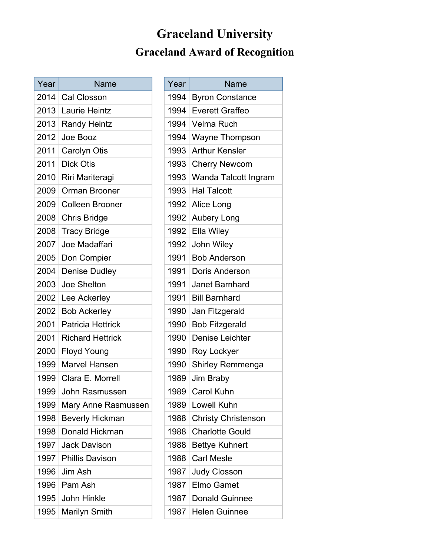# **Graceland University Graceland Award of Recognition**

| Year | <b>Name</b>                                     |      | Year | Name                       |  |
|------|-------------------------------------------------|------|------|----------------------------|--|
| 2014 | <b>Cal Closson</b>                              |      | 1994 | <b>Byron Constance</b>     |  |
| 2013 | 1994<br><b>Everett Graffeo</b><br>Laurie Heintz |      |      |                            |  |
|      | 2013   Randy Heintz                             |      | 1994 | Velma Ruch                 |  |
| 2012 | Joe Booz                                        |      | 1994 | Wayne Thompson             |  |
| 2011 | Carolyn Otis                                    |      | 1993 | <b>Arthur Kensler</b>      |  |
| 2011 | <b>Dick Otis</b>                                |      | 1993 | <b>Cherry Newcom</b>       |  |
| 2010 | Riri Mariteragi                                 | 1993 |      | Wanda Talcott Ingram       |  |
| 2009 | Orman Brooner                                   |      | 1993 | <b>Hal Talcott</b>         |  |
| 2009 | <b>Colleen Brooner</b>                          |      | 1992 | Alice Long                 |  |
| 2008 | <b>Chris Bridge</b>                             |      | 1992 | Aubery Long                |  |
| 2008 | <b>Tracy Bridge</b>                             |      | 1992 | Ella Wiley                 |  |
| 2007 | Joe Madaffari                                   |      | 1992 | <b>John Wiley</b>          |  |
| 2005 | Don Compier                                     |      | 1991 | <b>Bob Anderson</b>        |  |
| 2004 | <b>Denise Dudley</b>                            |      | 1991 | Doris Anderson             |  |
| 2003 | Joe Shelton                                     |      | 1991 | Janet Barnhard             |  |
|      | 2002 Lee Ackerley                               |      | 1991 | <b>Bill Barnhard</b>       |  |
| 2002 | <b>Bob Ackerley</b>                             |      | 1990 | Jan Fitzgerald             |  |
| 2001 | <b>Patricia Hettrick</b>                        |      | 1990 | <b>Bob Fitzgerald</b>      |  |
| 2001 | <b>Richard Hettrick</b>                         |      | 1990 | Denise Leichter            |  |
| 2000 | <b>Floyd Young</b>                              |      | 1990 | Roy Lockyer                |  |
| 1999 | <b>Marvel Hansen</b>                            |      | 1990 | <b>Shirley Remmenga</b>    |  |
| 1999 | Clara E. Morrell                                |      | 1989 | Jim Braby                  |  |
| 1999 | John Rasmussen                                  |      | 1989 | Carol Kuhn                 |  |
| 1999 | Mary Anne Rasmussen                             |      | 1989 | Lowell Kuhn                |  |
| 1998 | <b>Beverly Hickman</b>                          |      | 1988 | <b>Christy Christenson</b> |  |
| 1998 | Donald Hickman                                  |      | 1988 | <b>Charlotte Gould</b>     |  |
| 1997 | <b>Jack Davison</b>                             |      | 1988 | <b>Bettye Kuhnert</b>      |  |
| 1997 | <b>Phillis Davison</b>                          |      | 1988 | <b>Carl Mesle</b>          |  |
| 1996 | Jim Ash                                         |      | 1987 | <b>Judy Closson</b>        |  |
| 1996 | Pam Ash                                         |      | 1987 | Elmo Gamet                 |  |
| 1995 | John Hinkle                                     |      | 1987 | <b>Donald Guinnee</b>      |  |
| 1995 | Marilyn Smith                                   |      | 1987 | <b>Helen Guinnee</b>       |  |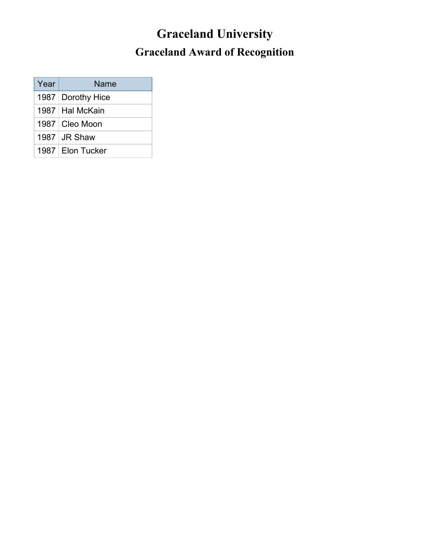# **Graceland University Graceland Award of Recognition**

| Year | Name                |
|------|---------------------|
|      | 1987   Dorothy Hice |
|      | 1987   Hal McKain   |
|      | 1987   Cleo Moon    |
|      | $1987$ JR Shaw      |
|      | 1987 Elon Tucker    |